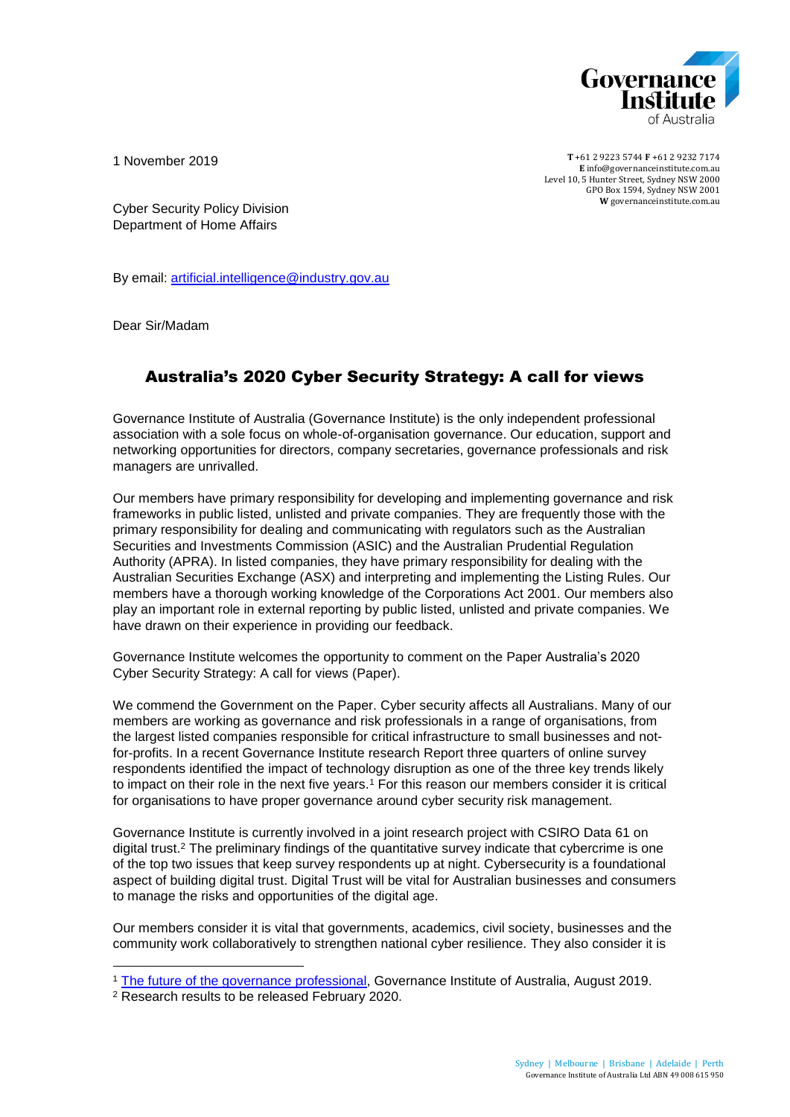

1 November 2019

**T** +61 2 9223 5744 **F** +61 2 9232 7174 **E** [info@governanceinstitute.com.au](mailto:info@governanceinstitute.com.au) Level 10, 5 Hunter Street, Sydney NSW 2000 GPO Box 1594, Sydney NSW 2001 **W** governanceinstitute.com.au

Cyber Security Policy Division Department of Home Affairs

By email: [artificial.intelligence@industry.gov.au](mailto:artificial.intelligence@industry.gov.au)

Dear Sir/Madam

# Australia's 2020 Cyber Security Strategy: A call for views

Governance Institute of Australia (Governance Institute) is the only independent professional association with a sole focus on whole-of-organisation governance. Our education, support and networking opportunities for directors, company secretaries, governance professionals and risk managers are unrivalled.

Our members have primary responsibility for developing and implementing governance and risk frameworks in public listed, unlisted and private companies. They are frequently those with the primary responsibility for dealing and communicating with regulators such as the Australian Securities and Investments Commission (ASIC) and the Australian Prudential Regulation Authority (APRA). In listed companies, they have primary responsibility for dealing with the Australian Securities Exchange (ASX) and interpreting and implementing the Listing Rules. Our members have a thorough working knowledge of the Corporations Act 2001. Our members also play an important role in external reporting by public listed, unlisted and private companies. We have drawn on their experience in providing our feedback.

Governance Institute welcomes the opportunity to comment on the Paper Australia's 2020 Cyber Security Strategy: A call for views (Paper).

We commend the Government on the Paper. Cyber security affects all Australians. Many of our members are working as governance and risk professionals in a range of organisations, from the largest listed companies responsible for critical infrastructure to small businesses and notfor-profits. In a recent Governance Institute research Report three quarters of online survey respondents identified the impact of technology disruption as one of the three key trends likely to impact on their role in the next five years.<sup>1</sup> For this reason our members consider it is critical for organisations to have proper governance around cyber security risk management.

Governance Institute is currently involved in a joint research project with CSIRO Data 61 on digital trust.<sup>2</sup> The preliminary findings of the quantitative survey indicate that cybercrime is one of the top two issues that keep survey respondents up at night. Cybersecurity is a foundational aspect of building digital trust. Digital Trust will be vital for Australian businesses and consumers to manage the risks and opportunities of the digital age.

Our members consider it is vital that governments, academics, civil society, businesses and the community work collaboratively to strengthen national cyber resilience. They also consider it is

1

<sup>1</sup> [The future of the governance professional,](https://www.governanceinstitute.com.au/advocacy/thought-leadership/report-the-future-of-the-governance-professional/) Governance Institute of Australia, August 2019.

<sup>2</sup> Research results to be released February 2020.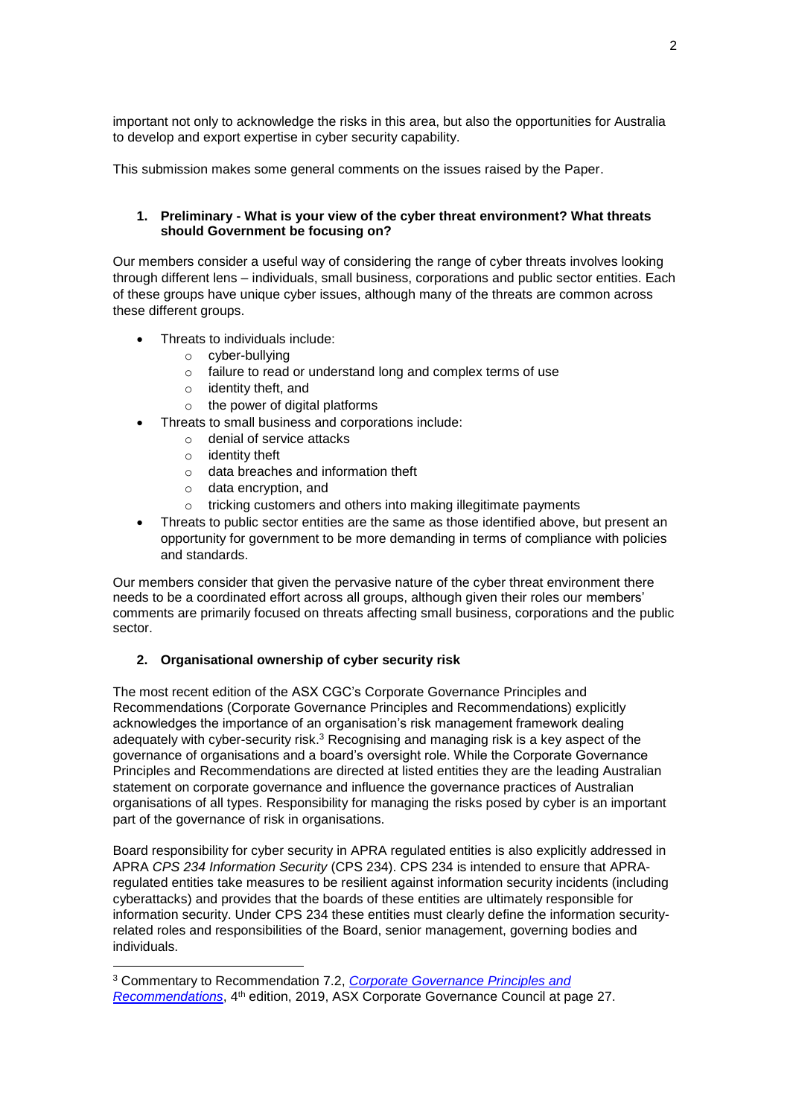important not only to acknowledge the risks in this area, but also the opportunities for Australia to develop and export expertise in cyber security capability.

This submission makes some general comments on the issues raised by the Paper.

## **1. Preliminary - What is your view of the cyber threat environment? What threats should Government be focusing on?**

Our members consider a useful way of considering the range of cyber threats involves looking through different lens – individuals, small business, corporations and public sector entities. Each of these groups have unique cyber issues, although many of the threats are common across these different groups.

- Threats to individuals include:
	- o cyber-bullying
	- o failure to read or understand long and complex terms of use
	- o identity theft, and
	- o the power of digital platforms
- Threats to small business and corporations include:
	- o denial of service attacks
	- o identity theft

1

- o data breaches and information theft
- o data encryption, and
- o tricking customers and others into making illegitimate payments
- Threats to public sector entities are the same as those identified above, but present an opportunity for government to be more demanding in terms of compliance with policies and standards.

Our members consider that given the pervasive nature of the cyber threat environment there needs to be a coordinated effort across all groups, although given their roles our members' comments are primarily focused on threats affecting small business, corporations and the public sector.

## **2. Organisational ownership of cyber security risk**

The most recent edition of the ASX CGC's Corporate Governance Principles and Recommendations (Corporate Governance Principles and Recommendations) explicitly acknowledges the importance of an organisation's risk management framework dealing adequately with cyber-security risk.<sup>3</sup> Recognising and managing risk is a key aspect of the governance of organisations and a board's oversight role. While the Corporate Governance Principles and Recommendations are directed at listed entities they are the leading Australian statement on corporate governance and influence the governance practices of Australian organisations of all types. Responsibility for managing the risks posed by cyber is an important part of the governance of risk in organisations.

Board responsibility for cyber security in APRA regulated entities is also explicitly addressed in APRA *CPS 234 Information Security* (CPS 234). CPS 234 is intended to ensure that APRAregulated entities take measures to be resilient against information security incidents (including cyberattacks) and provides that the boards of these entities are ultimately responsible for information security. Under CPS 234 these entities must clearly define the information securityrelated roles and responsibilities of the Board, senior management, governing bodies and individuals.

<sup>3</sup> Commentary to Recommendation 7.2, *[Corporate Governance Principles and](https://www.asx.com.au/documents/asx-compliance/cgc-principles-and-recommendations-fourth-edn.pdf)*  [Recommendations](https://www.asx.com.au/documents/asx-compliance/cgc-principles-and-recommendations-fourth-edn.pdf), 4<sup>th</sup> edition, 2019, ASX Corporate Governance Council at page 27.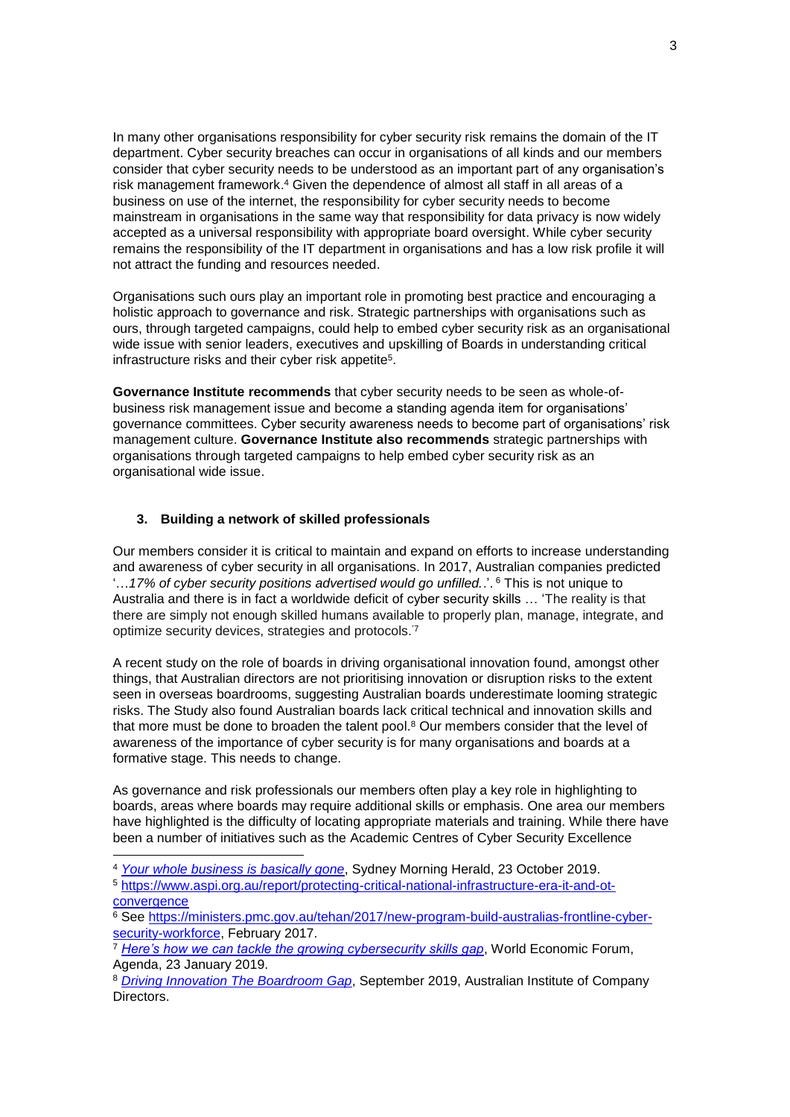In many other organisations responsibility for cyber security risk remains the domain of the IT department. Cyber security breaches can occur in organisations of all kinds and our members consider that cyber security needs to be understood as an important part of any organisation's risk management framework. <sup>4</sup> Given the dependence of almost all staff in all areas of a business on use of the internet, the responsibility for cyber security needs to become mainstream in organisations in the same way that responsibility for data privacy is now widely accepted as a universal responsibility with appropriate board oversight. While cyber security remains the responsibility of the IT department in organisations and has a low risk profile it will not attract the funding and resources needed.

Organisations such ours play an important role in promoting best practice and encouraging a holistic approach to governance and risk. Strategic partnerships with organisations such as ours, through targeted campaigns, could help to embed cyber security risk as an organisational wide issue with senior leaders, executives and upskilling of Boards in understanding critical infrastructure risks and their cyber risk appetite<sup>5</sup>.

**Governance Institute recommends** that cyber security needs to be seen as whole-ofbusiness risk management issue and become a standing agenda item for organisations' governance committees. Cyber security awareness needs to become part of organisations' risk management culture. **Governance Institute also recommends** strategic partnerships with organisations through targeted campaigns to help embed cyber security risk as an organisational wide issue.

### **3. Building a network of skilled professionals**

1

Our members consider it is critical to maintain and expand on efforts to increase understanding and awareness of cyber security in all organisations. In 2017, Australian companies predicted '…*17% of cyber security positions advertised would go unfilled.*.'. <sup>6</sup> This is not unique to Australia and there is in fact a worldwide deficit of cyber security skills … 'The reality is that there are simply not enough skilled humans available to properly plan, manage, integrate, and optimize security devices, strategies and protocols.'7

A recent study on the role of boards in driving organisational innovation found, amongst other things, that Australian directors are not prioritising innovation or disruption risks to the extent seen in overseas boardrooms, suggesting Australian boards underestimate looming strategic risks. The Study also found Australian boards lack critical technical and innovation skills and that more must be done to broaden the talent pool.<sup>8</sup> Our members consider that the level of awareness of the importance of cyber security is for many organisations and boards at a formative stage. This needs to change.

As governance and risk professionals our members often play a key role in highlighting to boards, areas where boards may require additional skills or emphasis. One area our members have highlighted is the difficulty of locating appropriate materials and training. While there have been a number of initiatives such as the Academic Centres of Cyber Security Excellence

<sup>4</sup> *[Your whole business is basically gone](https://www.smh.com.au/business/small-business/your-whole-business-is-basically-gone-gillian-franklin-hit-by-2-million-cyber-attack-20191021-p532ri.html?btis)*, Sydney Morning Herald, 23 October 2019.

<sup>5</sup> [https://www.aspi.org.au/report/protecting-critical-national-infrastructure-era-it-and-ot](https://www.aspi.org.au/report/protecting-critical-national-infrastructure-era-it-and-ot-convergence)[convergence](https://www.aspi.org.au/report/protecting-critical-national-infrastructure-era-it-and-ot-convergence)

<sup>6</sup> See [https://ministers.pmc.gov.au/tehan/2017/new-program-build-australias-frontline-cyber](https://ministers.pmc.gov.au/tehan/2017/new-program-build-australias-frontline-cyber-security-workforce)[security-workforce,](https://ministers.pmc.gov.au/tehan/2017/new-program-build-australias-frontline-cyber-security-workforce) February 2017.

<sup>&</sup>lt;sup>7</sup> [Here's how we can tackle the growing cybersecurity skills gap](https://www.weforum.org/agenda/2019/01/addressing-the-growing-cybersecurity-skills-gap/), World Economic Forum, Agenda, 23 January 2019.

<sup>8</sup> *[Driving Innovation The Boardroom Gap](https://aicd.companydirectors.com.au/advocacy/research/driving-innovation-the-boardroom-gap)*, September 2019, Australian Institute of Company **Directors**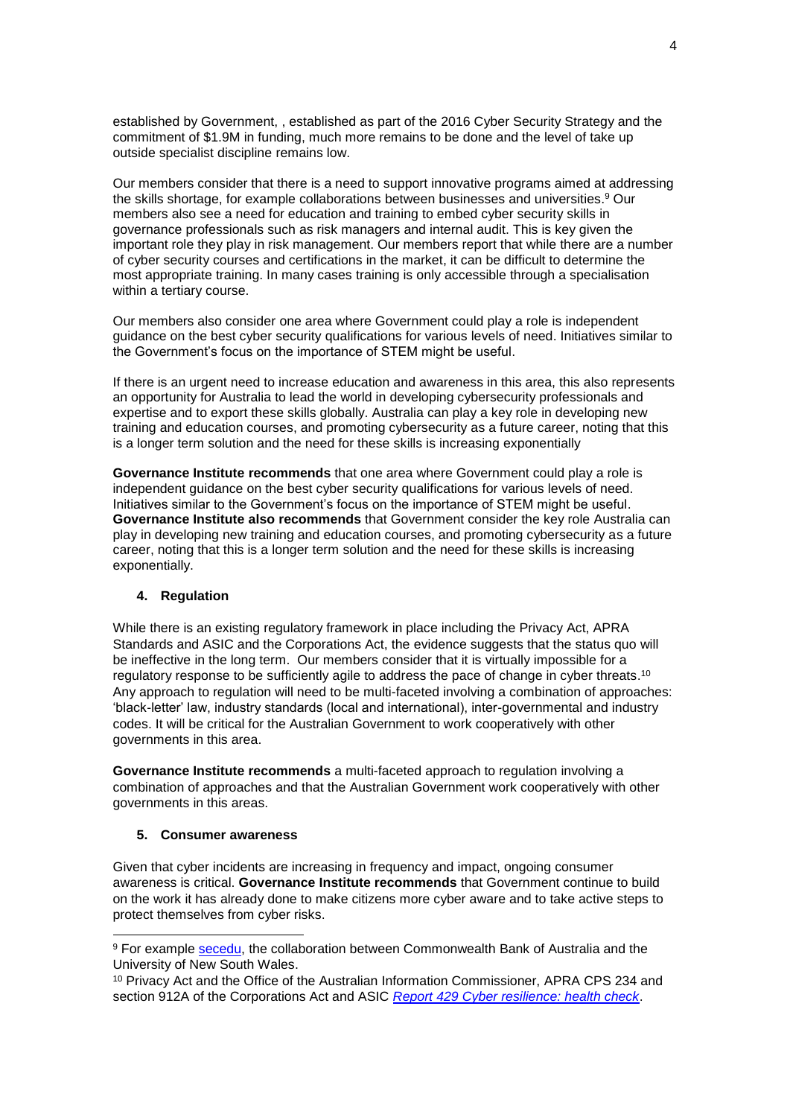established by Government, , established as part of the 2016 Cyber Security Strategy and the commitment of \$1.9M in funding, much more remains to be done and the level of take up outside specialist discipline remains low.

Our members consider that there is a need to support innovative programs aimed at addressing the skills shortage, for example collaborations between businesses and universities. <sup>9</sup> Our members also see a need for education and training to embed cyber security skills in governance professionals such as risk managers and internal audit. This is key given the important role they play in risk management. Our members report that while there are a number of cyber security courses and certifications in the market, it can be difficult to determine the most appropriate training. In many cases training is only accessible through a specialisation within a tertiary course.

Our members also consider one area where Government could play a role is independent guidance on the best cyber security qualifications for various levels of need. Initiatives similar to the Government's focus on the importance of STEM might be useful.

If there is an urgent need to increase education and awareness in this area, this also represents an opportunity for Australia to lead the world in developing cybersecurity professionals and expertise and to export these skills globally. Australia can play a key role in developing new training and education courses, and promoting cybersecurity as a future career, noting that this is a longer term solution and the need for these skills is increasing exponentially

**Governance Institute recommends** that one area where Government could play a role is independent guidance on the best cyber security qualifications for various levels of need. Initiatives similar to the Government's focus on the importance of STEM might be useful. **Governance Institute also recommends** that Government consider the key role Australia can play in developing new training and education courses, and promoting cybersecurity as a future career, noting that this is a longer term solution and the need for these skills is increasing exponentially.

## **4. Regulation**

While there is an existing regulatory framework in place including the Privacy Act, APRA Standards and ASIC and the Corporations Act, the evidence suggests that the status quo will be ineffective in the long term. Our members consider that it is virtually impossible for a regulatory response to be sufficiently agile to address the pace of change in cyber threats.<sup>10</sup> Any approach to regulation will need to be multi-faceted involving a combination of approaches: 'black-letter' law, industry standards (local and international), inter-governmental and industry codes. It will be critical for the Australian Government to work cooperatively with other governments in this area.

**Governance Institute recommends** a multi-faceted approach to regulation involving a combination of approaches and that the Australian Government work cooperatively with other governments in this areas.

#### **5. Consumer awareness**

1

Given that cyber incidents are increasing in frequency and impact, ongoing consumer awareness is critical. **Governance Institute recommends** that Government continue to build on the work it has already done to make citizens more cyber aware and to take active steps to protect themselves from cyber risks.

<sup>9</sup> For example [secedu,](https://sec.edu.au/about-us) the collaboration between Commonwealth Bank of Australia and the University of New South Wales.

<sup>&</sup>lt;sup>10</sup> Privacy Act and the Office of the Australian Information Commissioner, APRA CPS 234 and section 912A of the Corporations Act and ASIC *[Report 429 Cyber resilience: health check](https://download.asic.gov.au/media/3062900/rep429-published-19-march-2015-1.pdf)*.